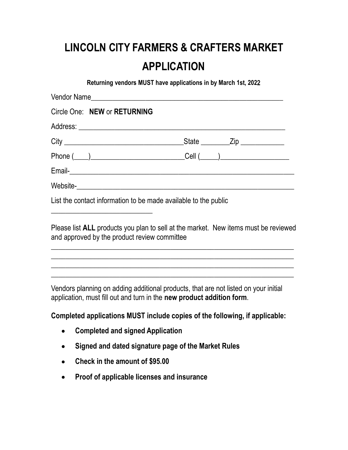## LINCOLN CITY FARMERS & CRAFTERS MARKET APPLICATION

Returning vendors MUST have applications in by March 1st, 2022

| Circle One: NEW or RETURNING                                                                                                                                                            |
|-----------------------------------------------------------------------------------------------------------------------------------------------------------------------------------------|
|                                                                                                                                                                                         |
|                                                                                                                                                                                         |
|                                                                                                                                                                                         |
|                                                                                                                                                                                         |
|                                                                                                                                                                                         |
| List the contact information to be made available to the public<br><u> 2000 - 2000 - 2000 - 2000 - 2000 - 2000 - 2000 - 2000 - 2000 - 2000 - 2000 - 2000 - 2000 - 2000 - 2000 - 200</u> |
| Please list ALL products you plan to sell at the market. New items must be reviewed                                                                                                     |

\_\_\_\_\_\_\_\_\_\_\_\_\_\_\_\_\_\_\_\_\_\_\_\_\_\_\_\_\_\_\_\_\_\_\_\_\_\_\_\_\_\_\_\_\_\_\_\_\_\_\_\_\_\_\_\_\_\_\_\_\_\_\_\_\_\_\_ \_\_\_\_\_\_\_\_\_\_\_\_\_\_\_\_\_\_\_\_\_\_\_\_\_\_\_\_\_\_\_\_\_\_\_\_\_\_\_\_\_\_\_\_\_\_\_\_\_\_\_\_\_\_\_\_\_\_\_\_\_\_\_\_\_\_\_ \_\_\_\_\_\_\_\_\_\_\_\_\_\_\_\_\_\_\_\_\_\_\_\_\_\_\_\_\_\_\_\_\_\_\_\_\_\_\_\_\_\_\_\_\_\_\_\_\_\_\_\_\_\_\_\_\_\_\_\_\_\_\_\_\_\_\_

 $\_$  , and the set of the set of the set of the set of the set of the set of the set of the set of the set of the set of the set of the set of the set of the set of the set of the set of the set of the set of the set of th

Vendors planning on adding additional products, that are not listed on your initial application, must fill out and turn in the new product addition form.

Completed applications MUST include copies of the following, if applicable:

Completed and signed Application

and approved by the product review committee

- Signed and dated signature page of the Market Rules
- Check in the amount of \$95.00
- Proof of applicable licenses and insurance